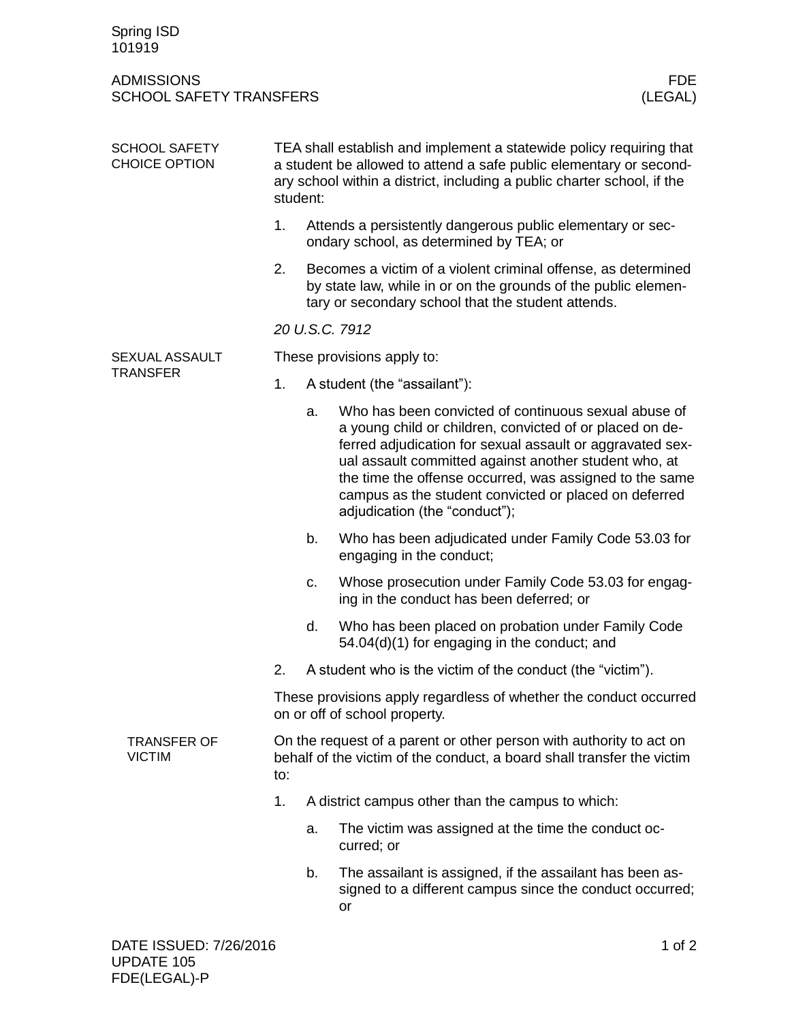| Spring ISD<br>101919                                |                                                                                                                                                                                                                                  |                |                                                                                                                                                                                                                                                                                                                                                                                             |
|-----------------------------------------------------|----------------------------------------------------------------------------------------------------------------------------------------------------------------------------------------------------------------------------------|----------------|---------------------------------------------------------------------------------------------------------------------------------------------------------------------------------------------------------------------------------------------------------------------------------------------------------------------------------------------------------------------------------------------|
| <b>ADMISSIONS</b><br><b>SCHOOL SAFETY TRANSFERS</b> |                                                                                                                                                                                                                                  |                | <b>FDE</b><br>(LEGAL)                                                                                                                                                                                                                                                                                                                                                                       |
| <b>SCHOOL SAFETY</b><br><b>CHOICE OPTION</b>        | TEA shall establish and implement a statewide policy requiring that<br>a student be allowed to attend a safe public elementary or second-<br>ary school within a district, including a public charter school, if the<br>student: |                |                                                                                                                                                                                                                                                                                                                                                                                             |
|                                                     | 1.                                                                                                                                                                                                                               |                | Attends a persistently dangerous public elementary or sec-<br>ondary school, as determined by TEA; or                                                                                                                                                                                                                                                                                       |
|                                                     | 2.                                                                                                                                                                                                                               |                | Becomes a victim of a violent criminal offense, as determined<br>by state law, while in or on the grounds of the public elemen-<br>tary or secondary school that the student attends.                                                                                                                                                                                                       |
|                                                     |                                                                                                                                                                                                                                  | 20 U.S.C. 7912 |                                                                                                                                                                                                                                                                                                                                                                                             |
| SEXUAL ASSAULT<br><b>TRANSFER</b>                   | These provisions apply to:                                                                                                                                                                                                       |                |                                                                                                                                                                                                                                                                                                                                                                                             |
|                                                     | 1.                                                                                                                                                                                                                               |                | A student (the "assailant"):                                                                                                                                                                                                                                                                                                                                                                |
|                                                     |                                                                                                                                                                                                                                  | a.             | Who has been convicted of continuous sexual abuse of<br>a young child or children, convicted of or placed on de-<br>ferred adjudication for sexual assault or aggravated sex-<br>ual assault committed against another student who, at<br>the time the offense occurred, was assigned to the same<br>campus as the student convicted or placed on deferred<br>adjudication (the "conduct"); |
|                                                     |                                                                                                                                                                                                                                  | b.             | Who has been adjudicated under Family Code 53.03 for<br>engaging in the conduct;                                                                                                                                                                                                                                                                                                            |
|                                                     |                                                                                                                                                                                                                                  | C.             | Whose prosecution under Family Code 53.03 for engag-<br>ing in the conduct has been deferred; or                                                                                                                                                                                                                                                                                            |
|                                                     |                                                                                                                                                                                                                                  | d.             | Who has been placed on probation under Family Code<br>54.04(d)(1) for engaging in the conduct; and                                                                                                                                                                                                                                                                                          |
|                                                     | 2.                                                                                                                                                                                                                               |                | A student who is the victim of the conduct (the "victim").                                                                                                                                                                                                                                                                                                                                  |
|                                                     | These provisions apply regardless of whether the conduct occurred<br>on or off of school property.                                                                                                                               |                |                                                                                                                                                                                                                                                                                                                                                                                             |
| <b>TRANSFER OF</b><br><b>VICTIM</b>                 | On the request of a parent or other person with authority to act on<br>behalf of the victim of the conduct, a board shall transfer the victim<br>to:                                                                             |                |                                                                                                                                                                                                                                                                                                                                                                                             |
|                                                     | 1.                                                                                                                                                                                                                               |                | A district campus other than the campus to which:                                                                                                                                                                                                                                                                                                                                           |
|                                                     |                                                                                                                                                                                                                                  | a.             | The victim was assigned at the time the conduct oc-<br>curred; or                                                                                                                                                                                                                                                                                                                           |
|                                                     |                                                                                                                                                                                                                                  | b.             | The assailant is assigned, if the assailant has been as-<br>signed to a different campus since the conduct occurred;<br>or                                                                                                                                                                                                                                                                  |